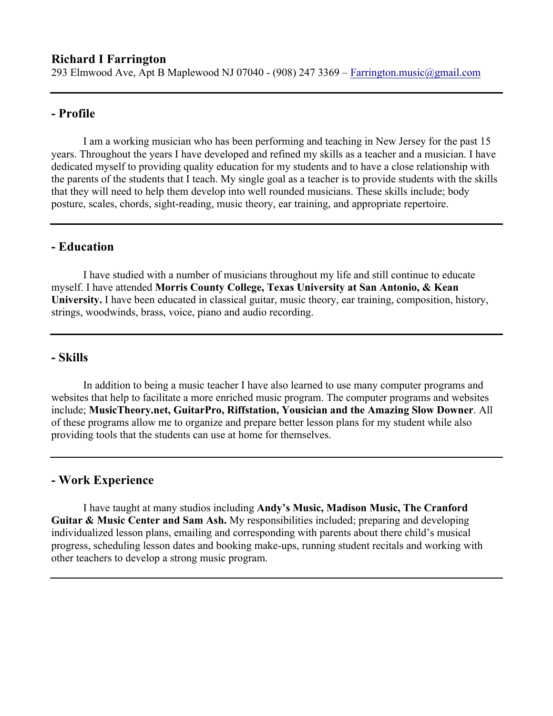# **- Profile**

I am a working musician who has been performing and teaching in New Jersey for the past 15 years. Throughout the years I have developed and refined my skills as a teacher and a musician. I have dedicated myself to providing quality education for my students and to have a close relationship with the parents of the students that I teach. My single goal as a teacher is to provide students with the skills that they will need to help them develop into well rounded musicians. These skills include; body posture, scales, chords, sight-reading, music theory, ear training, and appropriate repertoire.

## **- Education**

I have studied with a number of musicians throughout my life and still continue to educate myself. I have attended **Morris County College, Texas University at San Antonio, & Kean University.** I have been educated in classical guitar, music theory, ear training, composition, history, strings, woodwinds, brass, voice, piano and audio recording.

## **- Skills**

In addition to being a music teacher I have also learned to use many computer programs and websites that help to facilitate a more enriched music program. The computer programs and websites include; **MusicTheory.net, GuitarPro, Riffstation, Yousician and the Amazing Slow Downer**. All of these programs allow me to organize and prepare better lesson plans for my student while also providing tools that the students can use at home for themselves.

#### **- Work Experience**

I have taught at many studios including **Andy's Music, Madison Music, The Cranford Guitar & Music Center and Sam Ash.** My responsibilities included; preparing and developing individualized lesson plans, emailing and corresponding with parents about there child's musical progress, scheduling lesson dates and booking make-ups, running student recitals and working with other teachers to develop a strong music program.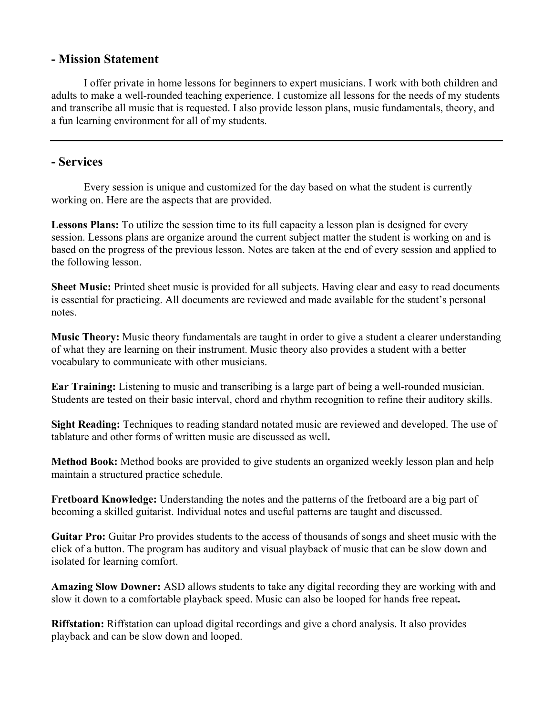## **- Mission Statement**

I offer private in home lessons for beginners to expert musicians. I work with both children and adults to make a well-rounded teaching experience. I customize all lessons for the needs of my students and transcribe all music that is requested. I also provide lesson plans, music fundamentals, theory, and a fun learning environment for all of my students.

## **- Services**

Every session is unique and customized for the day based on what the student is currently working on. Here are the aspects that are provided.

Lessons Plans: To utilize the session time to its full capacity a lesson plan is designed for every session. Lessons plans are organize around the current subject matter the student is working on and is based on the progress of the previous lesson. Notes are taken at the end of every session and applied to the following lesson.

**Sheet Music:** Printed sheet music is provided for all subjects. Having clear and easy to read documents is essential for practicing. All documents are reviewed and made available for the student's personal notes.

**Music Theory:** Music theory fundamentals are taught in order to give a student a clearer understanding of what they are learning on their instrument. Music theory also provides a student with a better vocabulary to communicate with other musicians.

**Ear Training:** Listening to music and transcribing is a large part of being a well-rounded musician. Students are tested on their basic interval, chord and rhythm recognition to refine their auditory skills.

**Sight Reading:** Techniques to reading standard notated music are reviewed and developed. The use of tablature and other forms of written music are discussed as well**.**

**Method Book:** Method books are provided to give students an organized weekly lesson plan and help maintain a structured practice schedule.

**Fretboard Knowledge:** Understanding the notes and the patterns of the fretboard are a big part of becoming a skilled guitarist. Individual notes and useful patterns are taught and discussed.

**Guitar Pro:** Guitar Pro provides students to the access of thousands of songs and sheet music with the click of a button. The program has auditory and visual playback of music that can be slow down and isolated for learning comfort.

**Amazing Slow Downer:** ASD allows students to take any digital recording they are working with and slow it down to a comfortable playback speed. Music can also be looped for hands free repeat**.**

**Riffstation:** Riffstation can upload digital recordings and give a chord analysis. It also provides playback and can be slow down and looped.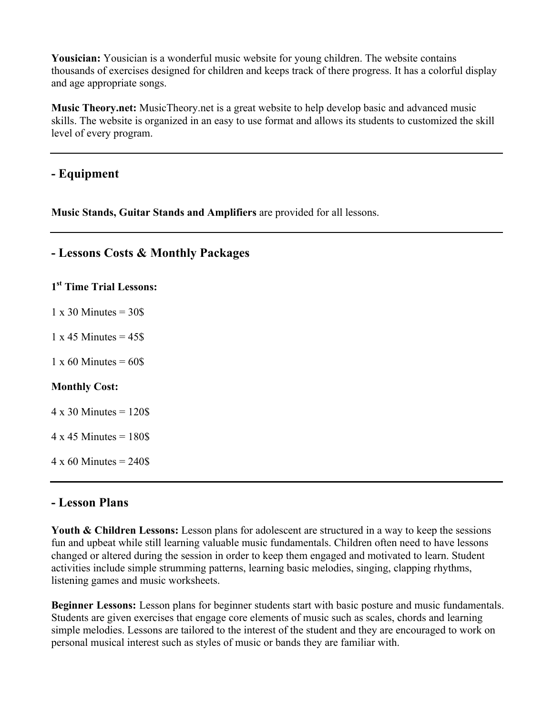**Yousician:** Yousician is a wonderful music website for young children. The website contains thousands of exercises designed for children and keeps track of there progress. It has a colorful display and age appropriate songs.

**Music Theory.net:** MusicTheory.net is a great website to help develop basic and advanced music skills. The website is organized in an easy to use format and allows its students to customized the skill level of every program.

# **- Equipment**

**Music Stands, Guitar Stands and Amplifiers** are provided for all lessons.

# **- Lessons Costs & Monthly Packages**

**1st Time Trial Lessons:**

 $1 \times 30$  Minutes =  $30\$ 

 $1 \times 45$  Minutes =  $45\$ 

 $1 \times 60$  Minutes = 60\$

#### **Monthly Cost:**

 $4 \times 30$  Minutes = 120\$

 $4 \times 45$  Minutes = 180\$

 $4 \times 60$  Minutes = 240\$

## **- Lesson Plans**

Youth & Children Lessons: Lesson plans for adolescent are structured in a way to keep the sessions fun and upbeat while still learning valuable music fundamentals. Children often need to have lessons changed or altered during the session in order to keep them engaged and motivated to learn. Student activities include simple strumming patterns, learning basic melodies, singing, clapping rhythms, listening games and music worksheets.

**Beginner Lessons:** Lesson plans for beginner students start with basic posture and music fundamentals. Students are given exercises that engage core elements of music such as scales, chords and learning simple melodies. Lessons are tailored to the interest of the student and they are encouraged to work on personal musical interest such as styles of music or bands they are familiar with.